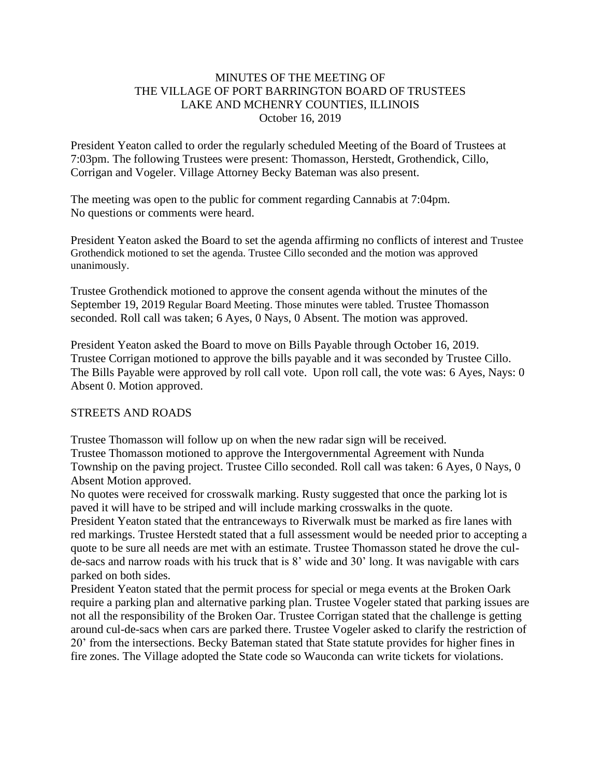## MINUTES OF THE MEETING OF THE VILLAGE OF PORT BARRINGTON BOARD OF TRUSTEES LAKE AND MCHENRY COUNTIES, ILLINOIS October 16, 2019

President Yeaton called to order the regularly scheduled Meeting of the Board of Trustees at 7:03pm. The following Trustees were present: Thomasson, Herstedt, Grothendick, Cillo, Corrigan and Vogeler. Village Attorney Becky Bateman was also present.

The meeting was open to the public for comment regarding Cannabis at 7:04pm. No questions or comments were heard.

President Yeaton asked the Board to set the agenda affirming no conflicts of interest and Trustee Grothendick motioned to set the agenda. Trustee Cillo seconded and the motion was approved unanimously.

Trustee Grothendick motioned to approve the consent agenda without the minutes of the September 19, 2019 Regular Board Meeting. Those minutes were tabled. Trustee Thomasson seconded. Roll call was taken; 6 Ayes, 0 Nays, 0 Absent. The motion was approved.

President Yeaton asked the Board to move on Bills Payable through October 16, 2019. Trustee Corrigan motioned to approve the bills payable and it was seconded by Trustee Cillo. The Bills Payable were approved by roll call vote. Upon roll call, the vote was: 6 Ayes, Nays: 0 Absent 0. Motion approved.

### STREETS AND ROADS

Trustee Thomasson will follow up on when the new radar sign will be received. Trustee Thomasson motioned to approve the Intergovernmental Agreement with Nunda Township on the paving project. Trustee Cillo seconded. Roll call was taken: 6 Ayes, 0 Nays, 0 Absent Motion approved.

No quotes were received for crosswalk marking. Rusty suggested that once the parking lot is paved it will have to be striped and will include marking crosswalks in the quote.

President Yeaton stated that the entranceways to Riverwalk must be marked as fire lanes with red markings. Trustee Herstedt stated that a full assessment would be needed prior to accepting a quote to be sure all needs are met with an estimate. Trustee Thomasson stated he drove the culde-sacs and narrow roads with his truck that is 8' wide and 30' long. It was navigable with cars parked on both sides.

President Yeaton stated that the permit process for special or mega events at the Broken Oark require a parking plan and alternative parking plan. Trustee Vogeler stated that parking issues are not all the responsibility of the Broken Oar. Trustee Corrigan stated that the challenge is getting around cul-de-sacs when cars are parked there. Trustee Vogeler asked to clarify the restriction of 20' from the intersections. Becky Bateman stated that State statute provides for higher fines in fire zones. The Village adopted the State code so Wauconda can write tickets for violations.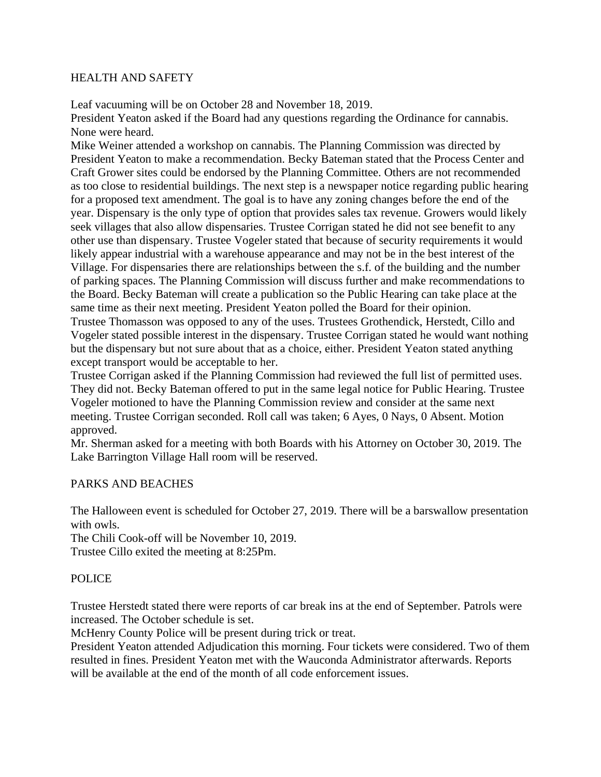### HEALTH AND SAFETY

Leaf vacuuming will be on October 28 and November 18, 2019.

President Yeaton asked if the Board had any questions regarding the Ordinance for cannabis. None were heard.

Mike Weiner attended a workshop on cannabis. The Planning Commission was directed by President Yeaton to make a recommendation. Becky Bateman stated that the Process Center and Craft Grower sites could be endorsed by the Planning Committee. Others are not recommended as too close to residential buildings. The next step is a newspaper notice regarding public hearing for a proposed text amendment. The goal is to have any zoning changes before the end of the year. Dispensary is the only type of option that provides sales tax revenue. Growers would likely seek villages that also allow dispensaries. Trustee Corrigan stated he did not see benefit to any other use than dispensary. Trustee Vogeler stated that because of security requirements it would likely appear industrial with a warehouse appearance and may not be in the best interest of the Village. For dispensaries there are relationships between the s.f. of the building and the number of parking spaces. The Planning Commission will discuss further and make recommendations to the Board. Becky Bateman will create a publication so the Public Hearing can take place at the same time as their next meeting. President Yeaton polled the Board for their opinion.

Trustee Thomasson was opposed to any of the uses. Trustees Grothendick, Herstedt, Cillo and Vogeler stated possible interest in the dispensary. Trustee Corrigan stated he would want nothing but the dispensary but not sure about that as a choice, either. President Yeaton stated anything except transport would be acceptable to her.

Trustee Corrigan asked if the Planning Commission had reviewed the full list of permitted uses. They did not. Becky Bateman offered to put in the same legal notice for Public Hearing. Trustee Vogeler motioned to have the Planning Commission review and consider at the same next meeting. Trustee Corrigan seconded. Roll call was taken; 6 Ayes, 0 Nays, 0 Absent. Motion approved.

Mr. Sherman asked for a meeting with both Boards with his Attorney on October 30, 2019. The Lake Barrington Village Hall room will be reserved.

### PARKS AND BEACHES

The Halloween event is scheduled for October 27, 2019. There will be a barswallow presentation with owls.

The Chili Cook-off will be November 10, 2019. Trustee Cillo exited the meeting at 8:25Pm.

### POLICE

Trustee Herstedt stated there were reports of car break ins at the end of September. Patrols were increased. The October schedule is set.

McHenry County Police will be present during trick or treat.

President Yeaton attended Adjudication this morning. Four tickets were considered. Two of them resulted in fines. President Yeaton met with the Wauconda Administrator afterwards. Reports will be available at the end of the month of all code enforcement issues.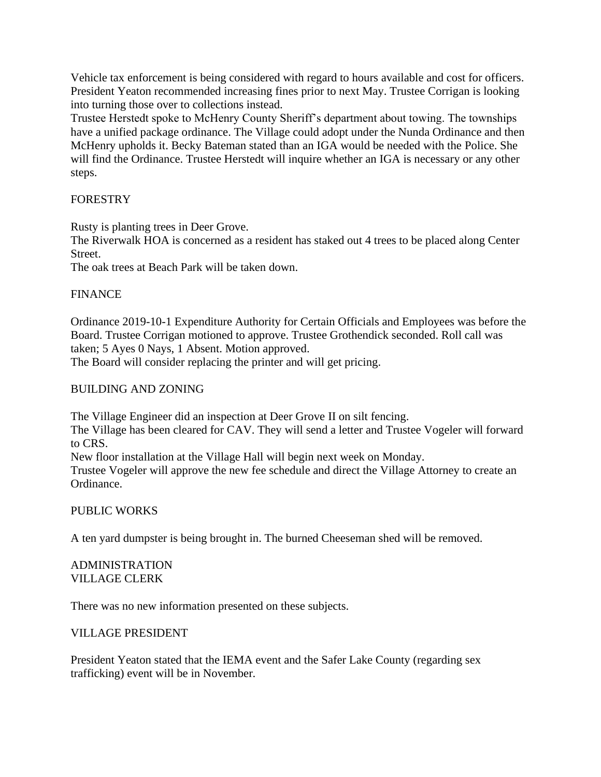Vehicle tax enforcement is being considered with regard to hours available and cost for officers. President Yeaton recommended increasing fines prior to next May. Trustee Corrigan is looking into turning those over to collections instead.

Trustee Herstedt spoke to McHenry County Sheriff's department about towing. The townships have a unified package ordinance. The Village could adopt under the Nunda Ordinance and then McHenry upholds it. Becky Bateman stated than an IGA would be needed with the Police. She will find the Ordinance. Trustee Herstedt will inquire whether an IGA is necessary or any other steps.

# FORESTRY

Rusty is planting trees in Deer Grove.

The Riverwalk HOA is concerned as a resident has staked out 4 trees to be placed along Center Street.

The oak trees at Beach Park will be taken down.

## FINANCE

Ordinance 2019-10-1 Expenditure Authority for Certain Officials and Employees was before the Board. Trustee Corrigan motioned to approve. Trustee Grothendick seconded. Roll call was taken; 5 Ayes 0 Nays, 1 Absent. Motion approved.

The Board will consider replacing the printer and will get pricing.

# BUILDING AND ZONING

The Village Engineer did an inspection at Deer Grove II on silt fencing.

The Village has been cleared for CAV. They will send a letter and Trustee Vogeler will forward to CRS.

New floor installation at the Village Hall will begin next week on Monday.

Trustee Vogeler will approve the new fee schedule and direct the Village Attorney to create an Ordinance.

### PUBLIC WORKS

A ten yard dumpster is being brought in. The burned Cheeseman shed will be removed.

## ADMINISTRATION VILLAGE CLERK

There was no new information presented on these subjects.

### VILLAGE PRESIDENT

President Yeaton stated that the IEMA event and the Safer Lake County (regarding sex trafficking) event will be in November.